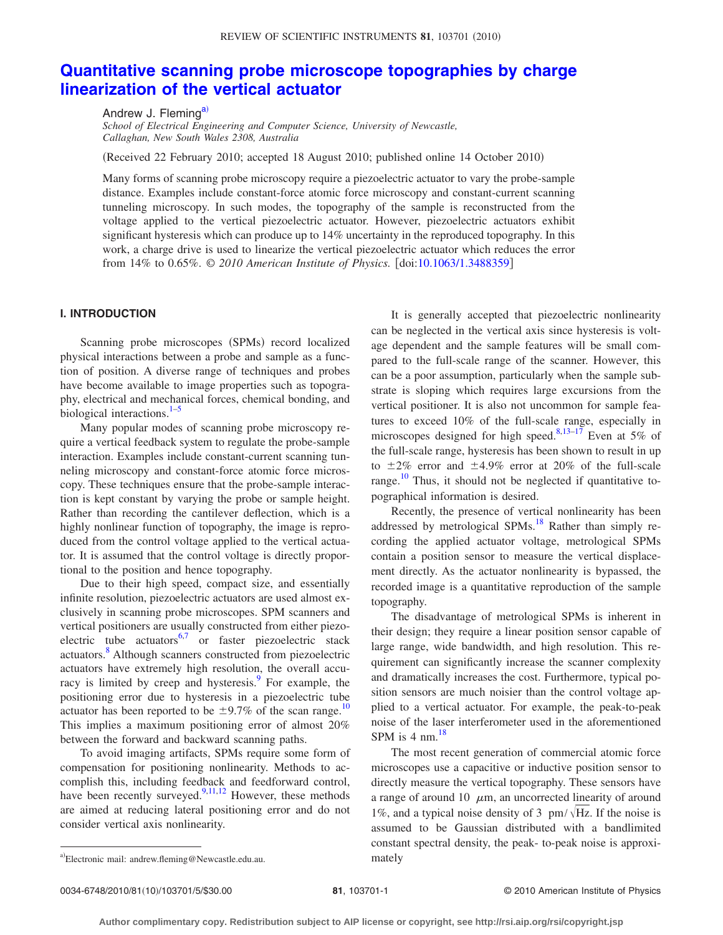# **[Quantitative scanning probe microscope topographies by charge](http://dx.doi.org/10.1063/1.3488359) [linearization of the vertical actuator](http://dx.doi.org/10.1063/1.3488359)**

Andrew J. Fleming<sup>a)</sup>

*School of Electrical Engineering and Computer Science, University of Newcastle, Callaghan, New South Wales 2308, Australia*

(Received 22 February 2010; accepted 18 August 2010; published online 14 October 2010)

Many forms of scanning probe microscopy require a piezoelectric actuator to vary the probe-sample distance. Examples include constant-force atomic force microscopy and constant-current scanning tunneling microscopy. In such modes, the topography of the sample is reconstructed from the voltage applied to the vertical piezoelectric actuator. However, piezoelectric actuators exhibit significant hysteresis which can produce up to 14% uncertainty in the reproduced topography. In this work, a charge drive is used to linearize the vertical piezoelectric actuator which reduces the error from 14% to 0.65%. © 2010 American Institute of Physics. [doi[:10.1063/1.3488359](http://dx.doi.org/10.1063/1.3488359)]

## **I. INTRODUCTION**

Scanning probe microscopes (SPMs) record localized physical interactions between a probe and sample as a function of position. A diverse range of techniques and probes have become available to image properties such as topography, electrical and mechanical forces, chemical bonding, and biological interactions.<sup>1[–5](#page-4-1)</sup>

Many popular modes of scanning probe microscopy require a vertical feedback system to regulate the probe-sample interaction. Examples include constant-current scanning tunneling microscopy and constant-force atomic force microscopy. These techniques ensure that the probe-sample interaction is kept constant by varying the probe or sample height. Rather than recording the cantilever deflection, which is a highly nonlinear function of topography, the image is reproduced from the control voltage applied to the vertical actuator. It is assumed that the control voltage is directly proportional to the position and hence topography.

Due to their high speed, compact size, and essentially infinite resolution, piezoelectric actuators are used almost exclusively in scanning probe microscopes. SPM scanners and vertical positioners are usually constructed from either piezoelectric tube actuators $6,7$  $6,7$  or faster piezoelectric stack actuators.<sup>8</sup> Although scanners constructed from piezoelectric actuators have extremely high resolution, the overall accuracy is limited by creep and hysteresis.<sup>9</sup> For example, the positioning error due to hysteresis in a piezoelectric tube actuator has been reported to be  $\pm$ 9.7% of the scan range.<sup>10</sup> This implies a maximum positioning error of almost 20% between the forward and backward scanning paths.

<span id="page-0-0"></span>To avoid imaging artifacts, SPMs require some form of compensation for positioning nonlinearity. Methods to accomplish this, including feedback and feedforward control, have been recently surveyed.<sup>9,[11,](#page-4-7)[12](#page-4-8)</sup> However, these methods are aimed at reducing lateral positioning error and do not consider vertical axis nonlinearity.

It is generally accepted that piezoelectric nonlinearity can be neglected in the vertical axis since hysteresis is voltage dependent and the sample features will be small compared to the full-scale range of the scanner. However, this can be a poor assumption, particularly when the sample substrate is sloping which requires large excursions from the vertical positioner. It is also not uncommon for sample features to exceed 10% of the full-scale range, especially in microscopes designed for high speed.<sup>8[,13](#page-4-9)[–17](#page-4-10)</sup> Even at 5% of the full-scale range, hysteresis has been shown to result in up to  $\pm 2\%$  error and  $\pm 4.9\%$  error at 20% of the full-scale range.<sup>[10](#page-4-6)</sup> Thus, it should not be neglected if quantitative topographical information is desired.

Recently, the presence of vertical nonlinearity has been addressed by metrological SPMs.<sup>18</sup> Rather than simply recording the applied actuator voltage, metrological SPMs contain a position sensor to measure the vertical displacement directly. As the actuator nonlinearity is bypassed, the recorded image is a quantitative reproduction of the sample topography.

The disadvantage of metrological SPMs is inherent in their design; they require a linear position sensor capable of large range, wide bandwidth, and high resolution. This requirement can significantly increase the scanner complexity and dramatically increases the cost. Furthermore, typical position sensors are much noisier than the control voltage applied to a vertical actuator. For example, the peak-to-peak noise of the laser interferometer used in the aforementioned SPM is 4 nm. $^{18}$ 

The most recent generation of commercial atomic force microscopes use a capacitive or inductive position sensor to directly measure the vertical topography. These sensors have a range of around 10  $\mu$ m, an uncorrected linearity of around 1%, and a typical noise density of 3  $pm/$  \Hz. If the noise is assumed to be Gaussian distributed with a bandlimited constant spectral density, the peak- to-peak noise is approxi-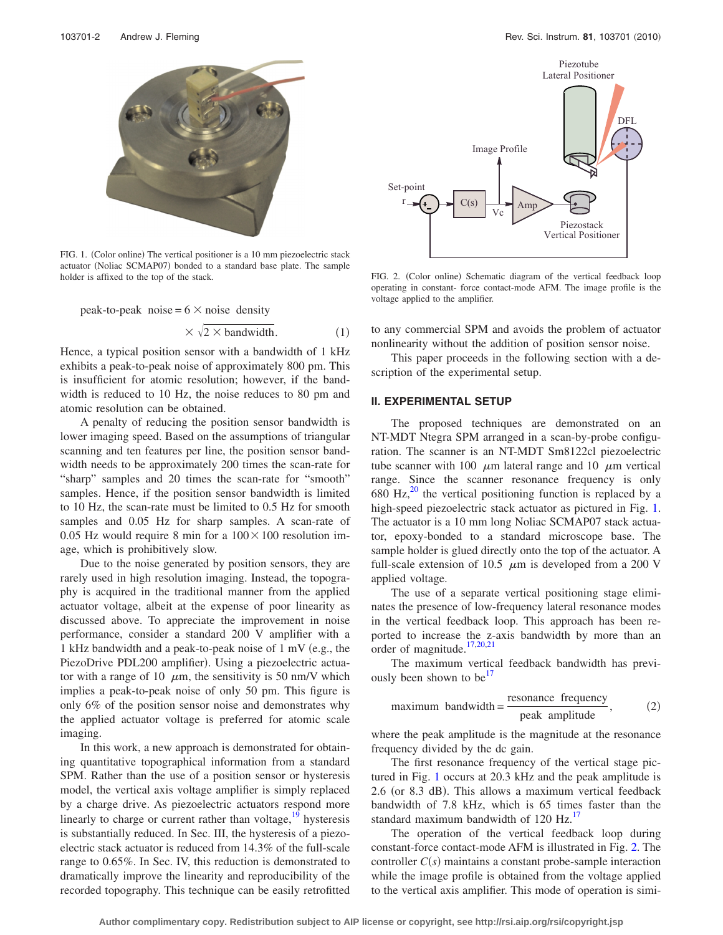<span id="page-1-0"></span>

FIG. 1. (Color online) The vertical positioner is a 10 mm piezoelectric stack actuator (Noliac SCMAP07) bonded to a standard base plate. The sample holder is affixed to the top of the stack.

peak-to-peak noise =  $6 \times$  noise density

$$
\times \sqrt{2 \times \text{bandwidth}}.\tag{1}
$$

Hence, a typical position sensor with a bandwidth of 1 kHz exhibits a peak-to-peak noise of approximately 800 pm. This is insufficient for atomic resolution; however, if the bandwidth is reduced to 10 Hz, the noise reduces to 80 pm and atomic resolution can be obtained.

A penalty of reducing the position sensor bandwidth is lower imaging speed. Based on the assumptions of triangular scanning and ten features per line, the position sensor bandwidth needs to be approximately 200 times the scan-rate for "sharp" samples and 20 times the scan-rate for "smooth" samples. Hence, if the position sensor bandwidth is limited to 10 Hz, the scan-rate must be limited to 0.5 Hz for smooth samples and 0.05 Hz for sharp samples. A scan-rate of 0.05 Hz would require 8 min for a  $100 \times 100$  resolution image, which is prohibitively slow.

Due to the noise generated by position sensors, they are rarely used in high resolution imaging. Instead, the topography is acquired in the traditional manner from the applied actuator voltage, albeit at the expense of poor linearity as discussed above. To appreciate the improvement in noise performance, consider a standard 200 V amplifier with a 1 kHz bandwidth and a peak-to-peak noise of  $1 \text{ mV}$  (e.g., the PiezoDrive PDL200 amplifier). Using a piezoelectric actuator with a range of 10  $\mu$ m, the sensitivity is 50 nm/V which implies a peak-to-peak noise of only 50 pm. This figure is only 6% of the position sensor noise and demonstrates why the applied actuator voltage is preferred for atomic scale imaging.

In this work, a new approach is demonstrated for obtaining quantitative topographical information from a standard SPM. Rather than the use of a position sensor or hysteresis model, the vertical axis voltage amplifier is simply replaced by a charge drive. As piezoelectric actuators respond more linearly to charge or current rather than voltage, $19$  hysteresis is substantially reduced. In Sec. III, the hysteresis of a piezoelectric stack actuator is reduced from 14.3% of the full-scale range to 0.65%. In Sec. IV, this reduction is demonstrated to dramatically improve the linearity and reproducibility of the recorded topography. This technique can be easily retrofitted

<span id="page-1-1"></span>

FIG. 2. (Color online) Schematic diagram of the vertical feedback loop operating in constant- force contact-mode AFM. The image profile is the voltage applied to the amplifier.

to any commercial SPM and avoids the problem of actuator nonlinearity without the addition of position sensor noise.

This paper proceeds in the following section with a description of the experimental setup.

#### **II. EXPERIMENTAL SETUP**

The proposed techniques are demonstrated on an NT-MDT Ntegra SPM arranged in a scan-by-probe configuration. The scanner is an NT-MDT Sm8122cl piezoelectric tube scanner with 100  $\mu$ m lateral range and 10  $\mu$ m vertical range. Since the scanner resonance frequency is only 680 Hz, $^{20}$  the vertical positioning function is replaced by a high-speed piezoelectric stack actuator as pictured in Fig. [1.](#page-1-0) The actuator is a 10 mm long Noliac SCMAP07 stack actuator, epoxy-bonded to a standard microscope base. The sample holder is glued directly onto the top of the actuator. A full-scale extension of 10.5  $\mu$ m is developed from a 200 V applied voltage.

The use of a separate vertical positioning stage eliminates the presence of low-frequency lateral resonance modes in the vertical feedback loop. This approach has been reported to increase the z-axis bandwidth by more than an order of magnitude[.17,](#page-4-10)[20,](#page-4-13)[21](#page-4-14)

The maximum vertical feedback bandwidth has previously been shown to be<sup>17</sup>

maximum bandwidth = 
$$
\frac{\text{resonance frequency}}{\text{peak amplitude}}
$$
, (2)

where the peak amplitude is the magnitude at the resonance frequency divided by the dc gain.

The first resonance frequency of the vertical stage pictured in Fig. [1](#page-1-0) occurs at 20.3 kHz and the peak amplitude is 2.6 (or 8.3 dB). This allows a maximum vertical feedback bandwidth of 7.8 kHz, which is 65 times faster than the standard maximum bandwidth of 120 Hz.<sup>17</sup>

The operation of the vertical feedback loop during constant-force contact-mode AFM is illustrated in Fig. [2.](#page-1-1) The controller  $C(s)$  maintains a constant probe-sample interaction while the image profile is obtained from the voltage applied to the vertical axis amplifier. This mode of operation is simi-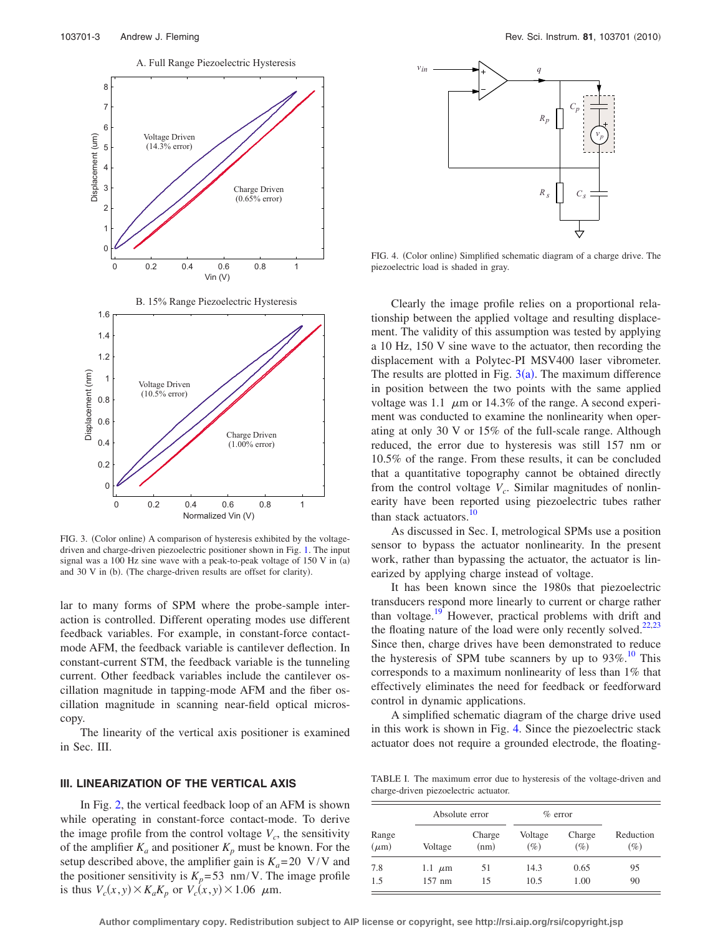<span id="page-2-0"></span>

FIG. 3. (Color online) A comparison of hysteresis exhibited by the voltagedriven and charge-driven piezoelectric positioner shown in Fig. [1.](#page-1-0) The input signal was a 100 Hz sine wave with a peak-to-peak voltage of  $150$  V in  $(a)$ and 30 V in (b). (The charge-driven results are offset for clarity).

lar to many forms of SPM where the probe-sample interaction is controlled. Different operating modes use different feedback variables. For example, in constant-force contactmode AFM, the feedback variable is cantilever deflection. In constant-current STM, the feedback variable is the tunneling current. Other feedback variables include the cantilever oscillation magnitude in tapping-mode AFM and the fiber oscillation magnitude in scanning near-field optical microscopy.

The linearity of the vertical axis positioner is examined in Sec. III.

## **III. LINEARIZATION OF THE VERTICAL AXIS**

In Fig. [2,](#page-1-1) the vertical feedback loop of an AFM is shown while operating in constant-force contact-mode. To derive the image profile from the control voltage  $V_c$ , the sensitivity of the amplifier  $K_a$  and positioner  $K_p$  must be known. For the setup described above, the amplifier gain is  $K_a = 20 \text{ V/V}$  and the positioner sensitivity is  $K_p = 53$  nm/V. The image profile is thus  $V_c(x, y) \times K_a K_p$  or  $V_c(x, y) \times 1.06$   $\mu$ m.

<span id="page-2-1"></span>

FIG. 4. (Color online) Simplified schematic diagram of a charge drive. The piezoelectric load is shaded in gray.

Clearly the image profile relies on a proportional relationship between the applied voltage and resulting displacement. The validity of this assumption was tested by applying a 10 Hz, 150 V sine wave to the actuator, then recording the displacement with a Polytec-PI MSV400 laser vibrometer. The results are plotted in Fig.  $3(a)$  $3(a)$ . The maximum difference in position between the two points with the same applied voltage was 1.1  $\mu$ m or 14.3% of the range. A second experiment was conducted to examine the nonlinearity when operating at only 30 V or 15% of the full-scale range. Although reduced, the error due to hysteresis was still 157 nm or 10.5% of the range. From these results, it can be concluded that a quantitative topography cannot be obtained directly from the control voltage  $V_c$ . Similar magnitudes of nonlinearity have been reported using piezoelectric tubes rather than stack actuators.<sup>10</sup>

As discussed in Sec. I, metrological SPMs use a position sensor to bypass the actuator nonlinearity. In the present work, rather than bypassing the actuator, the actuator is linearized by applying charge instead of voltage.

It has been known since the 1980s that piezoelectric transducers respond more linearly to current or charge rather than voltage.<sup>19</sup> However, practical problems with drift and the floating nature of the load were only recently solved. $22,23$  $22,23$ Since then, charge drives have been demonstrated to reduce the hysteresis of SPM tube scanners by up to  $93\%$ .<sup>10</sup> This corresponds to a maximum nonlinearity of less than 1% that effectively eliminates the need for feedback or feedforward control in dynamic applications.

A simplified schematic diagram of the charge drive used in this work is shown in Fig. [4.](#page-2-1) Since the piezoelectric stack actuator does not require a grounded electrode, the floating-

<span id="page-2-2"></span>TABLE I. The maximum error due to hysteresis of the voltage-driven and charge-driven piezoelectric actuator.

| Range<br>$(\mu m)$ | Absolute error |                | $%$ error         |                  |                     |
|--------------------|----------------|----------------|-------------------|------------------|---------------------|
|                    | Voltage        | Charge<br>(nm) | Voltage<br>$(\%)$ | Charge<br>$(\%)$ | Reduction<br>$(\%)$ |
| 7.8                | 1.1 $\mu$ m    | 51             | 14.3              | 0.65             | 95                  |
| 1.5                | $157$ nm       | 15             | 10.5              | 1.00             | 90                  |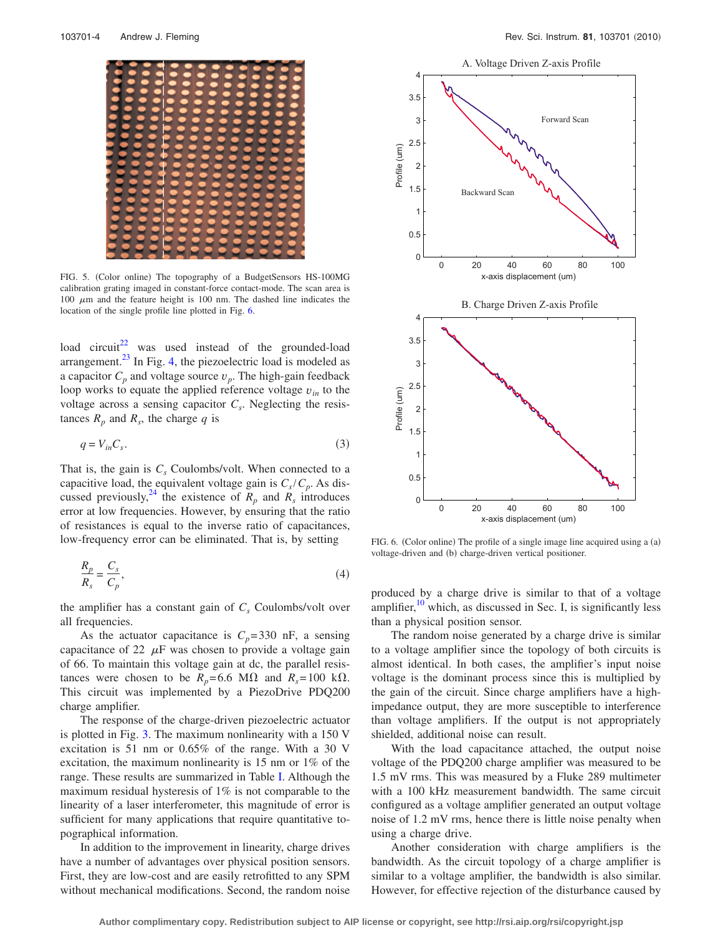<span id="page-3-1"></span>

FIG. 5. (Color online) The topography of a BudgetSensors HS-100MG calibration grating imaged in constant-force contact-mode. The scan area is 100  $\mu$ m and the feature height is 100 nm. The dashed line indicates the location of the single profile line plotted in Fig. [6.](#page-3-0)

load circuit<sup>22</sup> was used instead of the grounded-load arrangement. $^{23}$  In Fig. [4,](#page-2-1) the piezoelectric load is modeled as a capacitor  $C_p$  and voltage source  $v_p$ . The high-gain feedback loop works to equate the applied reference voltage  $v_{in}$  to the voltage across a sensing capacitor  $C_s$ . Neglecting the resistances  $R_p$  and  $R_s$ , the charge q is

$$
q = V_{in} C_s. \tag{3}
$$

That is, the gain is  $C_s$  Coulombs/volt. When connected to a capacitive load, the equivalent voltage gain is  $C_s/C_p$ . As discussed previously, <sup>24</sup> the existence of  $R_p$  and  $R_s$  introduces error at low frequencies. However, by ensuring that the ratio of resistances is equal to the inverse ratio of capacitances, low-frequency error can be eliminated. That is, by setting

$$
\frac{R_p}{R_s} = \frac{C_s}{C_p},\tag{4}
$$

the amplifier has a constant gain of  $C_s$  Coulombs/volt over all frequencies.

As the actuator capacitance is  $C_p = 330$  nF, a sensing capacitance of 22  $\mu$ F was chosen to provide a voltage gain of 66. To maintain this voltage gain at dc, the parallel resistances were chosen to be  $R_p$ =6.6 M $\Omega$  and  $R_s$ =100 k $\Omega$ . This circuit was implemented by a PiezoDrive PDQ200 charge amplifier.

The response of the charge-driven piezoelectric actuator is plotted in Fig. [3.](#page-2-0) The maximum nonlinearity with a 150 V excitation is 51 nm or 0.65% of the range. With a 30 V excitation, the maximum nonlinearity is 15 nm or 1% of the range. These results are summarized in Table [I.](#page-2-2) Although the maximum residual hysteresis of 1% is not comparable to the linearity of a laser interferometer, this magnitude of error is sufficient for many applications that require quantitative topographical information.

In addition to the improvement in linearity, charge drives have a number of advantages over physical position sensors. First, they are low-cost and are easily retrofitted to any SPM without mechanical modifications. Second, the random noise

<span id="page-3-0"></span>

FIG. 6. (Color online) The profile of a single image line acquired using a (a) voltage-driven and (b) charge-driven vertical positioner.

produced by a charge drive is similar to that of a voltage amplifier, $10$  which, as discussed in Sec. I, is significantly less than a physical position sensor.

The random noise generated by a charge drive is similar to a voltage amplifier since the topology of both circuits is almost identical. In both cases, the amplifier's input noise voltage is the dominant process since this is multiplied by the gain of the circuit. Since charge amplifiers have a highimpedance output, they are more susceptible to interference than voltage amplifiers. If the output is not appropriately shielded, additional noise can result.

With the load capacitance attached, the output noise voltage of the PDQ200 charge amplifier was measured to be 1.5 mV rms. This was measured by a Fluke 289 multimeter with a 100 kHz measurement bandwidth. The same circuit configured as a voltage amplifier generated an output voltage noise of 1.2 mV rms, hence there is little noise penalty when using a charge drive.

Another consideration with charge amplifiers is the bandwidth. As the circuit topology of a charge amplifier is similar to a voltage amplifier, the bandwidth is also similar. However, for effective rejection of the disturbance caused by